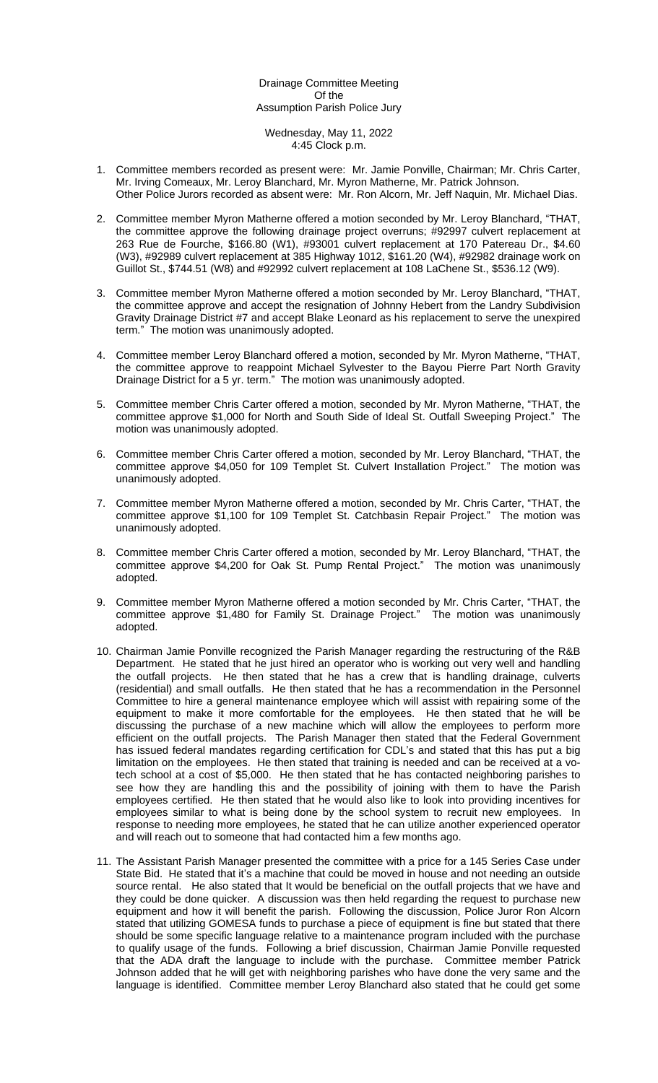# Drainage Committee Meeting Of the Assumption Parish Police Jury

#### Wednesday, May 11, 2022 4:45 Clock p.m.

- 1. Committee members recorded as present were: Mr. Jamie Ponville, Chairman; Mr. Chris Carter, Mr. Irving Comeaux, Mr. Leroy Blanchard, Mr. Myron Matherne, Mr. Patrick Johnson. Other Police Jurors recorded as absent were: Mr. Ron Alcorn, Mr. Jeff Naquin, Mr. Michael Dias.
- 2. Committee member Myron Matherne offered a motion seconded by Mr. Leroy Blanchard, "THAT, the committee approve the following drainage project overruns; #92997 culvert replacement at 263 Rue de Fourche, \$166.80 (W1), #93001 culvert replacement at 170 Patereau Dr., \$4.60 (W3), #92989 culvert replacement at 385 Highway 1012, \$161.20 (W4), #92982 drainage work on Guillot St., \$744.51 (W8) and #92992 culvert replacement at 108 LaChene St., \$536.12 (W9).
- 3. Committee member Myron Matherne offered a motion seconded by Mr. Leroy Blanchard, "THAT, the committee approve and accept the resignation of Johnny Hebert from the Landry Subdivision Gravity Drainage District #7 and accept Blake Leonard as his replacement to serve the unexpired term." The motion was unanimously adopted.
- 4. Committee member Leroy Blanchard offered a motion, seconded by Mr. Myron Matherne, "THAT, the committee approve to reappoint Michael Sylvester to the Bayou Pierre Part North Gravity Drainage District for a 5 yr. term." The motion was unanimously adopted.
- 5. Committee member Chris Carter offered a motion, seconded by Mr. Myron Matherne, "THAT, the committee approve \$1,000 for North and South Side of Ideal St. Outfall Sweeping Project." The motion was unanimously adopted.
- 6. Committee member Chris Carter offered a motion, seconded by Mr. Leroy Blanchard, "THAT, the committee approve \$4,050 for 109 Templet St. Culvert Installation Project." The motion was unanimously adopted.
- 7. Committee member Myron Matherne offered a motion, seconded by Mr. Chris Carter, "THAT, the committee approve \$1,100 for 109 Templet St. Catchbasin Repair Project." The motion was unanimously adopted.
- 8. Committee member Chris Carter offered a motion, seconded by Mr. Leroy Blanchard, "THAT, the committee approve \$4,200 for Oak St. Pump Rental Project." The motion was unanimously adopted.
- 9. Committee member Myron Matherne offered a motion seconded by Mr. Chris Carter, "THAT, the committee approve \$1,480 for Family St. Drainage Project." The motion was unanimously adopted.
- 10. Chairman Jamie Ponville recognized the Parish Manager regarding the restructuring of the R&B Department. He stated that he just hired an operator who is working out very well and handling the outfall projects. He then stated that he has a crew that is handling drainage, culverts (residential) and small outfalls. He then stated that he has a recommendation in the Personnel Committee to hire a general maintenance employee which will assist with repairing some of the equipment to make it more comfortable for the employees. He then stated that he will be discussing the purchase of a new machine which will allow the employees to perform more efficient on the outfall projects. The Parish Manager then stated that the Federal Government has issued federal mandates regarding certification for CDL's and stated that this has put a big limitation on the employees. He then stated that training is needed and can be received at a votech school at a cost of \$5,000. He then stated that he has contacted neighboring parishes to see how they are handling this and the possibility of joining with them to have the Parish employees certified. He then stated that he would also like to look into providing incentives for employees similar to what is being done by the school system to recruit new employees. In response to needing more employees, he stated that he can utilize another experienced operator and will reach out to someone that had contacted him a few months ago.
- 11. The Assistant Parish Manager presented the committee with a price for a 145 Series Case under State Bid. He stated that it's a machine that could be moved in house and not needing an outside source rental. He also stated that It would be beneficial on the outfall projects that we have and they could be done quicker. A discussion was then held regarding the request to purchase new equipment and how it will benefit the parish. Following the discussion, Police Juror Ron Alcorn stated that utilizing GOMESA funds to purchase a piece of equipment is fine but stated that there should be some specific language relative to a maintenance program included with the purchase to qualify usage of the funds. Following a brief discussion, Chairman Jamie Ponville requested that the ADA draft the language to include with the purchase. Committee member Patrick Johnson added that he will get with neighboring parishes who have done the very same and the language is identified. Committee member Leroy Blanchard also stated that he could get some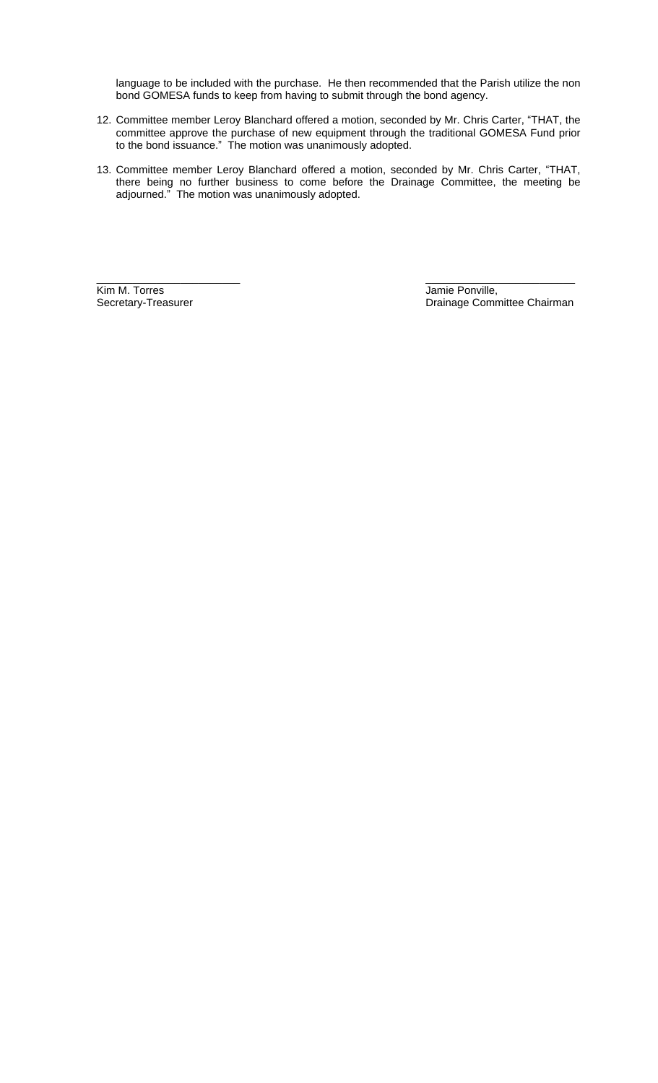language to be included with the purchase. He then recommended that the Parish utilize the non bond GOMESA funds to keep from having to submit through the bond agency.

- 12. Committee member Leroy Blanchard offered a motion, seconded by Mr. Chris Carter, "THAT, the committee approve the purchase of new equipment through the traditional GOMESA Fund prior to the bond issuance." The motion was unanimously adopted.
- 13. Committee member Leroy Blanchard offered a motion, seconded by Mr. Chris Carter, "THAT, there being no further business to come before the Drainage Committee, the meeting be adjourned." The motion was unanimously adopted.

**Kim M. Torres Community Community Community Community Community Community Community Community Community Community Community Community Community Community Community Community Community Community Community Community Communi** 

\_\_\_\_\_\_\_\_\_\_\_\_\_\_\_\_\_\_\_\_\_\_\_\_ \_\_\_\_\_\_\_\_\_\_\_\_\_\_\_\_\_\_\_\_\_\_\_\_\_ Drainage Committee Chairman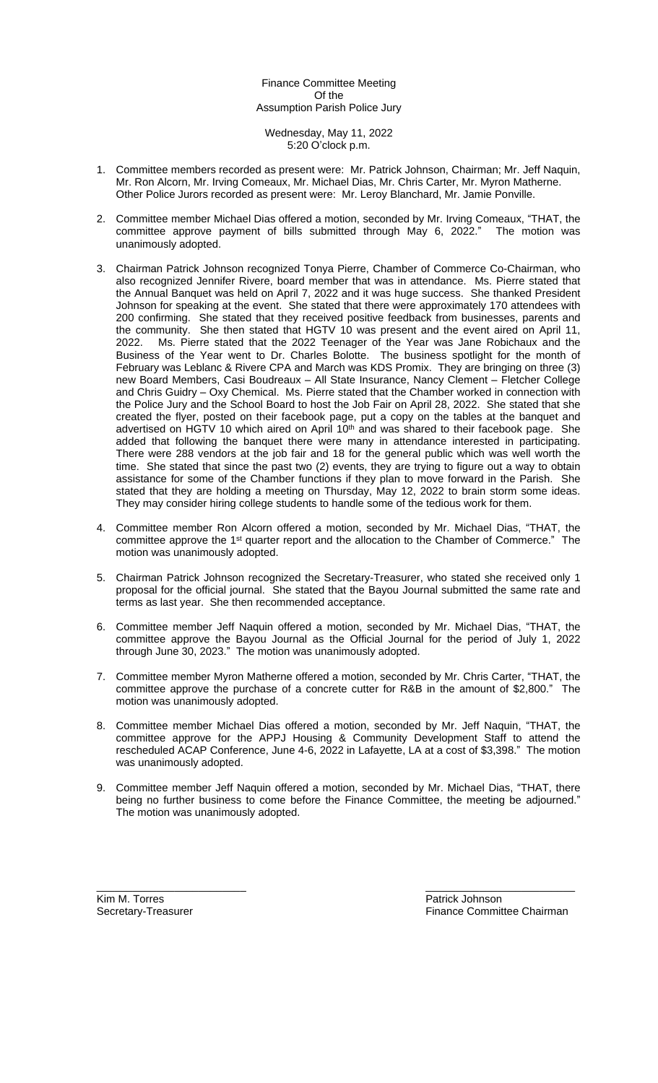# Finance Committee Meeting Of the Assumption Parish Police Jury

Wednesday, May 11, 2022 5:20 O'clock p.m.

- 1. Committee members recorded as present were: Mr. Patrick Johnson, Chairman; Mr. Jeff Naquin, Mr. Ron Alcorn, Mr. Irving Comeaux, Mr. Michael Dias, Mr. Chris Carter, Mr. Myron Matherne. Other Police Jurors recorded as present were: Mr. Leroy Blanchard, Mr. Jamie Ponville.
- 2. Committee member Michael Dias offered a motion, seconded by Mr. Irving Comeaux, "THAT, the committee approve payment of bills submitted through May 6, 2022." The motion was unanimously adopted.
- 3. Chairman Patrick Johnson recognized Tonya Pierre, Chamber of Commerce Co-Chairman, who also recognized Jennifer Rivere, board member that was in attendance. Ms. Pierre stated that the Annual Banquet was held on April 7, 2022 and it was huge success. She thanked President Johnson for speaking at the event. She stated that there were approximately 170 attendees with 200 confirming. She stated that they received positive feedback from businesses, parents and the community. She then stated that HGTV 10 was present and the event aired on April 11, 2022. Ms. Pierre stated that the 2022 Teenager of the Year was Jane Robichaux and the Business of the Year went to Dr. Charles Bolotte. The business spotlight for the month of February was Leblanc & Rivere CPA and March was KDS Promix. They are bringing on three (3) new Board Members, Casi Boudreaux – All State Insurance, Nancy Clement – Fletcher College and Chris Guidry – Oxy Chemical. Ms. Pierre stated that the Chamber worked in connection with the Police Jury and the School Board to host the Job Fair on April 28, 2022. She stated that she created the flyer, posted on their facebook page, put a copy on the tables at the banquet and advertised on HGTV 10 which aired on April 10<sup>th</sup> and was shared to their facebook page. She added that following the banquet there were many in attendance interested in participating. There were 288 vendors at the job fair and 18 for the general public which was well worth the time. She stated that since the past two (2) events, they are trying to figure out a way to obtain assistance for some of the Chamber functions if they plan to move forward in the Parish. She stated that they are holding a meeting on Thursday, May 12, 2022 to brain storm some ideas. They may consider hiring college students to handle some of the tedious work for them.
- 4. Committee member Ron Alcorn offered a motion, seconded by Mr. Michael Dias, "THAT, the committee approve the 1<sup>st</sup> quarter report and the allocation to the Chamber of Commerce." The motion was unanimously adopted.
- 5. Chairman Patrick Johnson recognized the Secretary-Treasurer, who stated she received only 1 proposal for the official journal. She stated that the Bayou Journal submitted the same rate and terms as last year. She then recommended acceptance.
- 6. Committee member Jeff Naquin offered a motion, seconded by Mr. Michael Dias, "THAT, the committee approve the Bayou Journal as the Official Journal for the period of July 1, 2022 through June 30, 2023." The motion was unanimously adopted.
- 7. Committee member Myron Matherne offered a motion, seconded by Mr. Chris Carter, "THAT, the committee approve the purchase of a concrete cutter for R&B in the amount of \$2,800." The motion was unanimously adopted.
- 8. Committee member Michael Dias offered a motion, seconded by Mr. Jeff Naquin, "THAT, the committee approve for the APPJ Housing & Community Development Staff to attend the rescheduled ACAP Conference, June 4-6, 2022 in Lafayette, LA at a cost of \$3,398." The motion was unanimously adopted.
- 9. Committee member Jeff Naquin offered a motion, seconded by Mr. Michael Dias, "THAT, there being no further business to come before the Finance Committee, the meeting be adjourned." The motion was unanimously adopted.

\_\_\_\_\_\_\_\_\_\_\_\_\_\_\_\_\_\_\_\_\_\_\_\_\_ \_\_\_\_\_\_\_\_\_\_\_\_\_\_\_\_\_\_\_\_\_\_\_\_\_

Kim M. Torres **Example 2018** Secretary-Treasurer **Number 2018** Patrick Johnson<br>
Secretary-Treasurer **Patrick Johnson** 

Finance Committee Chairman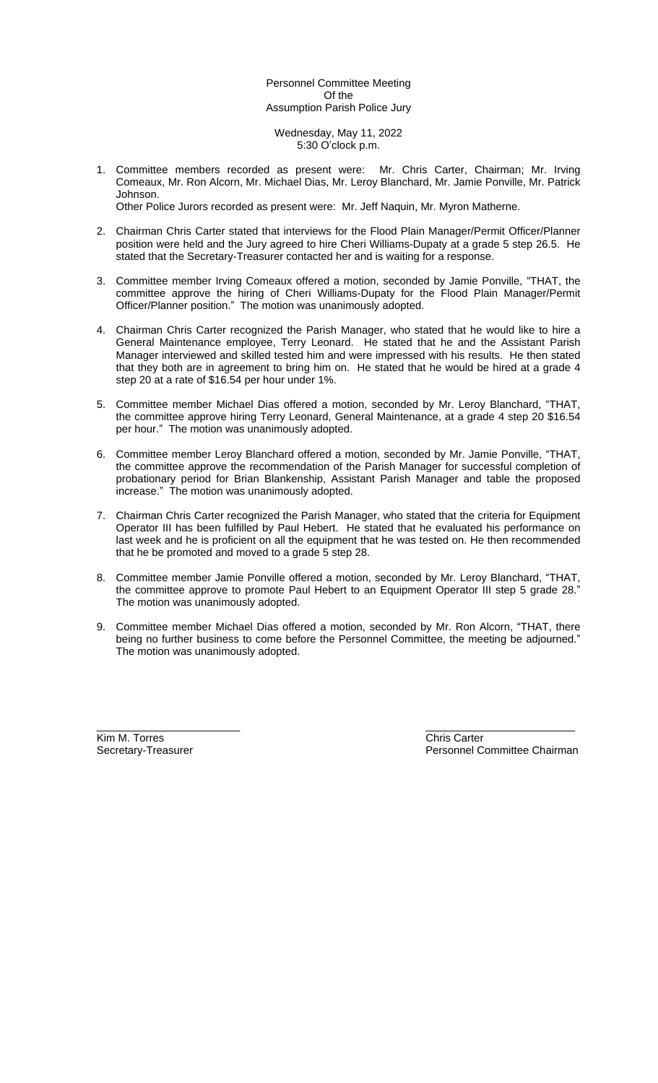# Personnel Committee Meeting Of the Assumption Parish Police Jury

#### Wednesday, May 11, 2022 5:30 O'clock p.m.

1. Committee members recorded as present were: Mr. Chris Carter, Chairman; Mr. Irving Comeaux, Mr. Ron Alcorn, Mr. Michael Dias, Mr. Leroy Blanchard, Mr. Jamie Ponville, Mr. Patrick Johnson.

Other Police Jurors recorded as present were: Mr. Jeff Naquin, Mr. Myron Matherne.

- 2. Chairman Chris Carter stated that interviews for the Flood Plain Manager/Permit Officer/Planner position were held and the Jury agreed to hire Cheri Williams-Dupaty at a grade 5 step 26.5. He stated that the Secretary-Treasurer contacted her and is waiting for a response.
- 3. Committee member Irving Comeaux offered a motion, seconded by Jamie Ponville, "THAT, the committee approve the hiring of Cheri Williams-Dupaty for the Flood Plain Manager/Permit Officer/Planner position." The motion was unanimously adopted.
- 4. Chairman Chris Carter recognized the Parish Manager, who stated that he would like to hire a General Maintenance employee, Terry Leonard. He stated that he and the Assistant Parish Manager interviewed and skilled tested him and were impressed with his results. He then stated that they both are in agreement to bring him on. He stated that he would be hired at a grade 4 step 20 at a rate of \$16.54 per hour under 1%.
- 5. Committee member Michael Dias offered a motion, seconded by Mr. Leroy Blanchard, "THAT, the committee approve hiring Terry Leonard, General Maintenance, at a grade 4 step 20 \$16.54 per hour." The motion was unanimously adopted.
- 6. Committee member Leroy Blanchard offered a motion, seconded by Mr. Jamie Ponville, "THAT, the committee approve the recommendation of the Parish Manager for successful completion of probationary period for Brian Blankenship, Assistant Parish Manager and table the proposed increase." The motion was unanimously adopted.
- 7. Chairman Chris Carter recognized the Parish Manager, who stated that the criteria for Equipment Operator III has been fulfilled by Paul Hebert. He stated that he evaluated his performance on last week and he is proficient on all the equipment that he was tested on. He then recommended that he be promoted and moved to a grade 5 step 28.
- 8. Committee member Jamie Ponville offered a motion, seconded by Mr. Leroy Blanchard, "THAT, the committee approve to promote Paul Hebert to an Equipment Operator III step 5 grade 28." The motion was unanimously adopted.
- 9. Committee member Michael Dias offered a motion, seconded by Mr. Ron Alcorn, "THAT, there being no further business to come before the Personnel Committee, the meeting be adjourned." The motion was unanimously adopted.

Kim M. Torres Chris Carter Chris Carter Chris Carter Chris Carter Chris Carter Chris Carter

\_\_\_\_\_\_\_\_\_\_\_\_\_\_\_\_\_\_\_\_\_\_\_\_ \_\_\_\_\_\_\_\_\_\_\_\_\_\_\_\_\_\_\_\_\_\_\_\_\_ Secretary-Treasurer **Personnel Committee Chairman**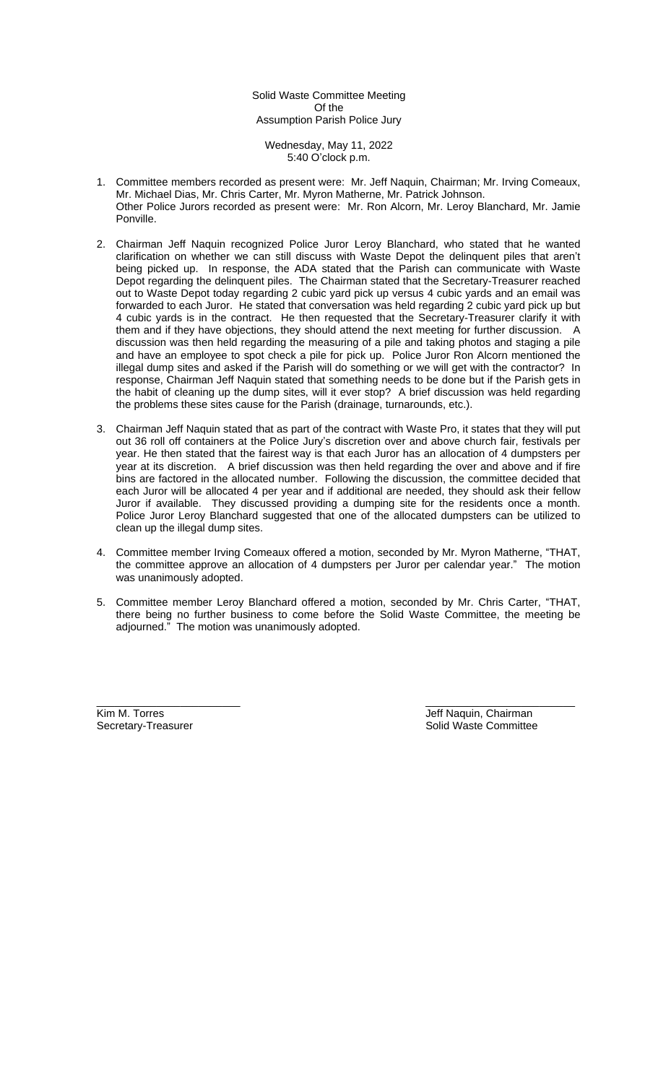Solid Waste Committee Meeting Of the Assumption Parish Police Jury

Wednesday, May 11, 2022 5:40 O'clock p.m.

- 1. Committee members recorded as present were: Mr. Jeff Naquin, Chairman; Mr. Irving Comeaux, Mr. Michael Dias, Mr. Chris Carter, Mr. Myron Matherne, Mr. Patrick Johnson. Other Police Jurors recorded as present were: Mr. Ron Alcorn, Mr. Leroy Blanchard, Mr. Jamie Ponville.
- 2. Chairman Jeff Naquin recognized Police Juror Leroy Blanchard, who stated that he wanted clarification on whether we can still discuss with Waste Depot the delinquent piles that aren't being picked up. In response, the ADA stated that the Parish can communicate with Waste Depot regarding the delinquent piles. The Chairman stated that the Secretary-Treasurer reached out to Waste Depot today regarding 2 cubic yard pick up versus 4 cubic yards and an email was forwarded to each Juror. He stated that conversation was held regarding 2 cubic yard pick up but 4 cubic yards is in the contract. He then requested that the Secretary-Treasurer clarify it with them and if they have objections, they should attend the next meeting for further discussion. A discussion was then held regarding the measuring of a pile and taking photos and staging a pile and have an employee to spot check a pile for pick up. Police Juror Ron Alcorn mentioned the illegal dump sites and asked if the Parish will do something or we will get with the contractor? In response, Chairman Jeff Naquin stated that something needs to be done but if the Parish gets in the habit of cleaning up the dump sites, will it ever stop? A brief discussion was held regarding the problems these sites cause for the Parish (drainage, turnarounds, etc.).
- 3. Chairman Jeff Naquin stated that as part of the contract with Waste Pro, it states that they will put out 36 roll off containers at the Police Jury's discretion over and above church fair, festivals per year. He then stated that the fairest way is that each Juror has an allocation of 4 dumpsters per year at its discretion. A brief discussion was then held regarding the over and above and if fire bins are factored in the allocated number. Following the discussion, the committee decided that each Juror will be allocated 4 per year and if additional are needed, they should ask their fellow Juror if available. They discussed providing a dumping site for the residents once a month. Police Juror Leroy Blanchard suggested that one of the allocated dumpsters can be utilized to clean up the illegal dump sites.
- 4. Committee member Irving Comeaux offered a motion, seconded by Mr. Myron Matherne, "THAT, the committee approve an allocation of 4 dumpsters per Juror per calendar year." The motion was unanimously adopted.
- 5. Committee member Leroy Blanchard offered a motion, seconded by Mr. Chris Carter, "THAT, there being no further business to come before the Solid Waste Committee, the meeting be adjourned." The motion was unanimously adopted.

\_\_\_\_\_\_\_\_\_\_\_\_\_\_\_\_\_\_\_\_\_\_\_\_ \_\_\_\_\_\_\_\_\_\_\_\_\_\_\_\_\_\_\_\_\_\_\_\_\_ Kim M. Torres (Allen Land Controller Land Controller Land Controller Land Controller Land Controller Land Controller<br>
Solid Waste Committee Solid Waste Committee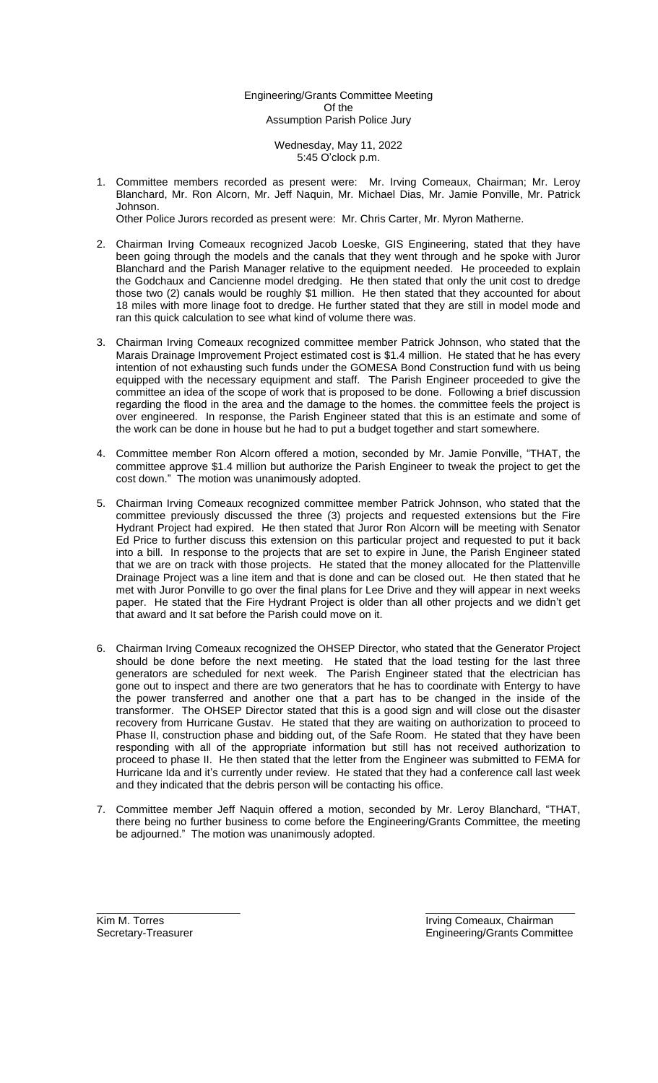Engineering/Grants Committee Meeting Of the Assumption Parish Police Jury

> Wednesday, May 11, 2022 5:45 O'clock p.m.

1. Committee members recorded as present were: Mr. Irving Comeaux, Chairman; Mr. Leroy Blanchard, Mr. Ron Alcorn, Mr. Jeff Naquin, Mr. Michael Dias, Mr. Jamie Ponville, Mr. Patrick Johnson.

Other Police Jurors recorded as present were: Mr. Chris Carter, Mr. Myron Matherne.

- 2. Chairman Irving Comeaux recognized Jacob Loeske, GIS Engineering, stated that they have been going through the models and the canals that they went through and he spoke with Juror Blanchard and the Parish Manager relative to the equipment needed. He proceeded to explain the Godchaux and Cancienne model dredging. He then stated that only the unit cost to dredge those two (2) canals would be roughly \$1 million. He then stated that they accounted for about 18 miles with more linage foot to dredge. He further stated that they are still in model mode and ran this quick calculation to see what kind of volume there was.
- 3. Chairman Irving Comeaux recognized committee member Patrick Johnson, who stated that the Marais Drainage Improvement Project estimated cost is \$1.4 million. He stated that he has every intention of not exhausting such funds under the GOMESA Bond Construction fund with us being equipped with the necessary equipment and staff. The Parish Engineer proceeded to give the committee an idea of the scope of work that is proposed to be done. Following a brief discussion regarding the flood in the area and the damage to the homes. the committee feels the project is over engineered. In response, the Parish Engineer stated that this is an estimate and some of the work can be done in house but he had to put a budget together and start somewhere.
- 4. Committee member Ron Alcorn offered a motion, seconded by Mr. Jamie Ponville, "THAT, the committee approve \$1.4 million but authorize the Parish Engineer to tweak the project to get the cost down." The motion was unanimously adopted.
- 5. Chairman Irving Comeaux recognized committee member Patrick Johnson, who stated that the committee previously discussed the three (3) projects and requested extensions but the Fire Hydrant Project had expired. He then stated that Juror Ron Alcorn will be meeting with Senator Ed Price to further discuss this extension on this particular project and requested to put it back into a bill. In response to the projects that are set to expire in June, the Parish Engineer stated that we are on track with those projects. He stated that the money allocated for the Plattenville Drainage Project was a line item and that is done and can be closed out. He then stated that he met with Juror Ponville to go over the final plans for Lee Drive and they will appear in next weeks paper. He stated that the Fire Hydrant Project is older than all other projects and we didn't get that award and It sat before the Parish could move on it.
- 6. Chairman Irving Comeaux recognized the OHSEP Director, who stated that the Generator Project should be done before the next meeting. He stated that the load testing for the last three generators are scheduled for next week. The Parish Engineer stated that the electrician has gone out to inspect and there are two generators that he has to coordinate with Entergy to have the power transferred and another one that a part has to be changed in the inside of the transformer. The OHSEP Director stated that this is a good sign and will close out the disaster recovery from Hurricane Gustav. He stated that they are waiting on authorization to proceed to Phase II, construction phase and bidding out, of the Safe Room. He stated that they have been responding with all of the appropriate information but still has not received authorization to proceed to phase II. He then stated that the letter from the Engineer was submitted to FEMA for Hurricane Ida and it's currently under review. He stated that they had a conference call last week and they indicated that the debris person will be contacting his office.
- 7. Committee member Jeff Naquin offered a motion, seconded by Mr. Leroy Blanchard, "THAT, there being no further business to come before the Engineering/Grants Committee, the meeting be adjourned." The motion was unanimously adopted.

\_\_\_\_\_\_\_\_\_\_\_\_\_\_\_\_\_\_\_\_\_\_\_\_ \_\_\_\_\_\_\_\_\_\_\_\_\_\_\_\_\_\_\_\_\_\_\_\_\_

Kim M. Torres **Irving Comeaux, Chairman** Secretary-Treasurer **Engineering/Grants Committee** Engineering/Grants Committee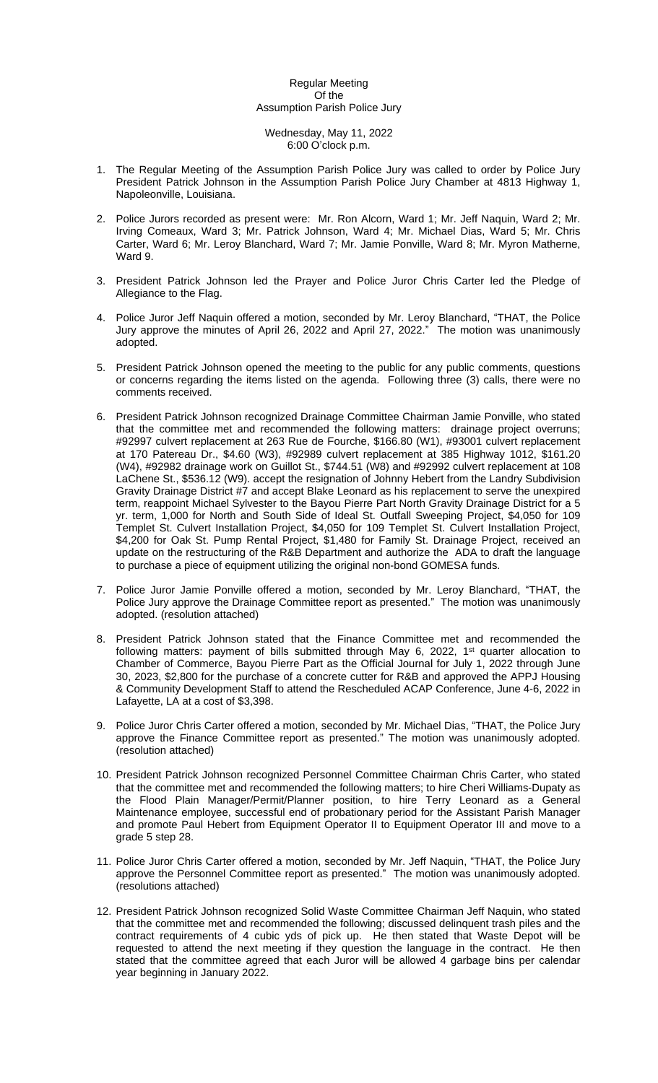### Regular Meeting Of the Assumption Parish Police Jury

#### Wednesday, May 11, 2022 6:00 O'clock p.m.

- 1. The Regular Meeting of the Assumption Parish Police Jury was called to order by Police Jury President Patrick Johnson in the Assumption Parish Police Jury Chamber at 4813 Highway 1, Napoleonville, Louisiana.
- 2. Police Jurors recorded as present were: Mr. Ron Alcorn, Ward 1; Mr. Jeff Naquin, Ward 2; Mr. Irving Comeaux, Ward 3; Mr. Patrick Johnson, Ward 4; Mr. Michael Dias, Ward 5; Mr. Chris Carter, Ward 6; Mr. Leroy Blanchard, Ward 7; Mr. Jamie Ponville, Ward 8; Mr. Myron Matherne, Ward 9.
- 3. President Patrick Johnson led the Prayer and Police Juror Chris Carter led the Pledge of Allegiance to the Flag.
- 4. Police Juror Jeff Naquin offered a motion, seconded by Mr. Leroy Blanchard, "THAT, the Police Jury approve the minutes of April 26, 2022 and April 27, 2022." The motion was unanimously adopted.
- 5. President Patrick Johnson opened the meeting to the public for any public comments, questions or concerns regarding the items listed on the agenda. Following three (3) calls, there were no comments received.
- 6. President Patrick Johnson recognized Drainage Committee Chairman Jamie Ponville, who stated that the committee met and recommended the following matters: drainage project overruns; #92997 culvert replacement at 263 Rue de Fourche, \$166.80 (W1), #93001 culvert replacement at 170 Patereau Dr., \$4.60 (W3), #92989 culvert replacement at 385 Highway 1012, \$161.20 (W4), #92982 drainage work on Guillot St., \$744.51 (W8) and #92992 culvert replacement at 108 LaChene St., \$536.12 (W9). accept the resignation of Johnny Hebert from the Landry Subdivision Gravity Drainage District #7 and accept Blake Leonard as his replacement to serve the unexpired term, reappoint Michael Sylvester to the Bayou Pierre Part North Gravity Drainage District for a 5 yr. term, 1,000 for North and South Side of Ideal St. Outfall Sweeping Project, \$4,050 for 109 Templet St. Culvert Installation Project, \$4,050 for 109 Templet St. Culvert Installation Project, \$4,200 for Oak St. Pump Rental Project, \$1,480 for Family St. Drainage Project, received an update on the restructuring of the R&B Department and authorize the ADA to draft the language to purchase a piece of equipment utilizing the original non-bond GOMESA funds.
- 7. Police Juror Jamie Ponville offered a motion, seconded by Mr. Leroy Blanchard, "THAT, the Police Jury approve the Drainage Committee report as presented." The motion was unanimously adopted. (resolution attached)
- 8. President Patrick Johnson stated that the Finance Committee met and recommended the following matters: payment of bills submitted through May 6, 2022, 1<sup>st</sup> quarter allocation to Chamber of Commerce, Bayou Pierre Part as the Official Journal for July 1, 2022 through June 30, 2023, \$2,800 for the purchase of a concrete cutter for R&B and approved the APPJ Housing & Community Development Staff to attend the Rescheduled ACAP Conference, June 4-6, 2022 in Lafayette, LA at a cost of \$3,398.
- 9. Police Juror Chris Carter offered a motion, seconded by Mr. Michael Dias, "THAT, the Police Jury approve the Finance Committee report as presented." The motion was unanimously adopted. (resolution attached)
- 10. President Patrick Johnson recognized Personnel Committee Chairman Chris Carter, who stated that the committee met and recommended the following matters; to hire Cheri Williams-Dupaty as the Flood Plain Manager/Permit/Planner position, to hire Terry Leonard as a General Maintenance employee, successful end of probationary period for the Assistant Parish Manager and promote Paul Hebert from Equipment Operator II to Equipment Operator III and move to a grade 5 step 28.
- 11. Police Juror Chris Carter offered a motion, seconded by Mr. Jeff Naquin, "THAT, the Police Jury approve the Personnel Committee report as presented." The motion was unanimously adopted. (resolutions attached)
- 12. President Patrick Johnson recognized Solid Waste Committee Chairman Jeff Naquin, who stated that the committee met and recommended the following; discussed delinquent trash piles and the contract requirements of 4 cubic yds of pick up. He then stated that Waste Depot will be requested to attend the next meeting if they question the language in the contract. He then stated that the committee agreed that each Juror will be allowed 4 garbage bins per calendar year beginning in January 2022.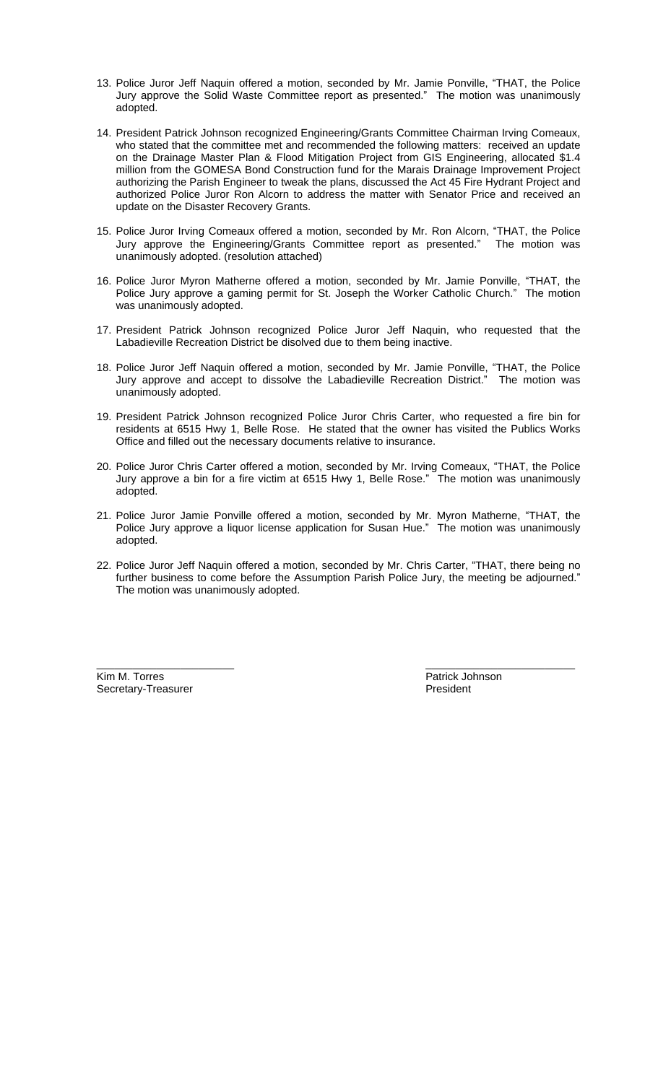- 13. Police Juror Jeff Naquin offered a motion, seconded by Mr. Jamie Ponville, "THAT, the Police Jury approve the Solid Waste Committee report as presented." The motion was unanimously adopted.
- 14. President Patrick Johnson recognized Engineering/Grants Committee Chairman Irving Comeaux, who stated that the committee met and recommended the following matters: received an update on the Drainage Master Plan & Flood Mitigation Project from GIS Engineering, allocated \$1.4 million from the GOMESA Bond Construction fund for the Marais Drainage Improvement Project authorizing the Parish Engineer to tweak the plans, discussed the Act 45 Fire Hydrant Project and authorized Police Juror Ron Alcorn to address the matter with Senator Price and received an update on the Disaster Recovery Grants.
- 15. Police Juror Irving Comeaux offered a motion, seconded by Mr. Ron Alcorn, "THAT, the Police Jury approve the Engineering/Grants Committee report as presented." The motion was unanimously adopted. (resolution attached)
- 16. Police Juror Myron Matherne offered a motion, seconded by Mr. Jamie Ponville, "THAT, the Police Jury approve a gaming permit for St. Joseph the Worker Catholic Church." The motion was unanimously adopted.
- 17. President Patrick Johnson recognized Police Juror Jeff Naquin, who requested that the Labadieville Recreation District be disolved due to them being inactive.
- 18. Police Juror Jeff Naquin offered a motion, seconded by Mr. Jamie Ponville, "THAT, the Police Jury approve and accept to dissolve the Labadieville Recreation District." The motion was unanimously adopted.
- 19. President Patrick Johnson recognized Police Juror Chris Carter, who requested a fire bin for residents at 6515 Hwy 1, Belle Rose. He stated that the owner has visited the Publics Works Office and filled out the necessary documents relative to insurance.
- 20. Police Juror Chris Carter offered a motion, seconded by Mr. Irving Comeaux, "THAT, the Police Jury approve a bin for a fire victim at 6515 Hwy 1, Belle Rose." The motion was unanimously adopted.
- 21. Police Juror Jamie Ponville offered a motion, seconded by Mr. Myron Matherne, "THAT, the Police Jury approve a liquor license application for Susan Hue." The motion was unanimously adopted.
- 22. Police Juror Jeff Naquin offered a motion, seconded by Mr. Chris Carter, "THAT, there being no further business to come before the Assumption Parish Police Jury, the meeting be adjourned." The motion was unanimously adopted.

\_\_\_\_\_\_\_\_\_\_\_\_\_\_\_\_\_\_\_\_\_\_\_ \_\_\_\_\_\_\_\_\_\_\_\_\_\_\_\_\_\_\_\_\_\_\_\_\_

Kim M. Torres Patrick Johnson Secretary-Treasurer